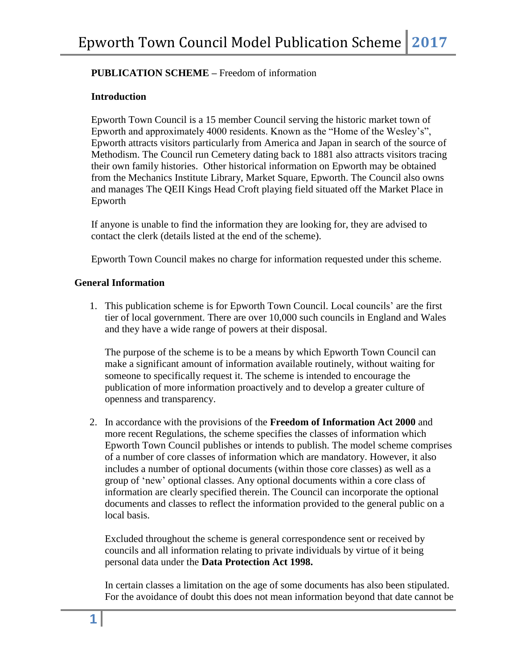# **PUBLICATION SCHEME –** Freedom of information

### **Introduction**

Epworth Town Council is a 15 member Council serving the historic market town of Epworth and approximately 4000 residents. Known as the "Home of the Wesley's", Epworth attracts visitors particularly from America and Japan in search of the source of Methodism. The Council run Cemetery dating back to 1881 also attracts visitors tracing their own family histories. Other historical information on Epworth may be obtained from the Mechanics Institute Library, Market Square, Epworth. The Council also owns and manages The QEII Kings Head Croft playing field situated off the Market Place in Epworth

If anyone is unable to find the information they are looking for, they are advised to contact the clerk (details listed at the end of the scheme).

Epworth Town Council makes no charge for information requested under this scheme.

#### **General Information**

1. This publication scheme is for Epworth Town Council. Local councils' are the first tier of local government. There are over 10,000 such councils in England and Wales and they have a wide range of powers at their disposal.

 The purpose of the scheme is to be a means by which Epworth Town Council can make a significant amount of information available routinely, without waiting for someone to specifically request it. The scheme is intended to encourage the publication of more information proactively and to develop a greater culture of openness and transparency.

2. In accordance with the provisions of the **Freedom of Information Act 2000** and more recent Regulations, the scheme specifies the classes of information which Epworth Town Council publishes or intends to publish. The model scheme comprises of a number of core classes of information which are mandatory. However, it also includes a number of optional documents (within those core classes) as well as a group of 'new' optional classes. Any optional documents within a core class of information are clearly specified therein. The Council can incorporate the optional documents and classes to reflect the information provided to the general public on a local basis.

Excluded throughout the scheme is general correspondence sent or received by councils and all information relating to private individuals by virtue of it being personal data under the **Data Protection Act 1998.**

In certain classes a limitation on the age of some documents has also been stipulated. For the avoidance of doubt this does not mean information beyond that date cannot be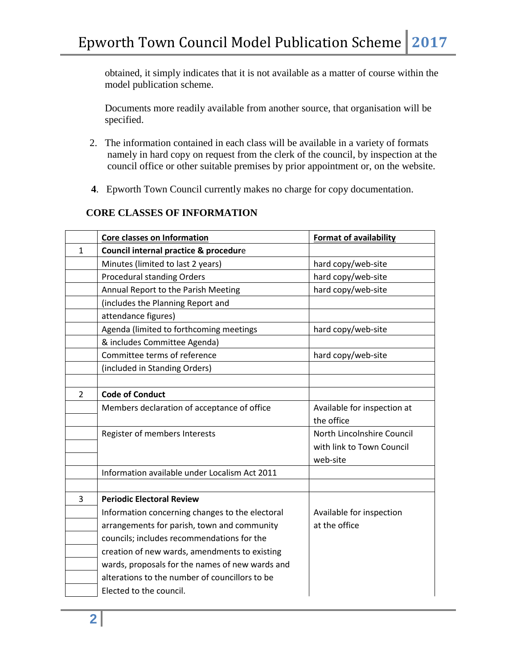obtained, it simply indicates that it is not available as a matter of course within the model publication scheme.

Documents more readily available from another source, that organisation will be specified.

- 2. The information contained in each class will be available in a variety of formats namely in hard copy on request from the clerk of the council, by inspection at the council office or other suitable premises by prior appointment or, on the website.
- **4**. Epworth Town Council currently makes no charge for copy documentation.

## **CORE CLASSES OF INFORMATION**

|                | <b>Core classes on Information</b>              | <b>Format of availability</b> |
|----------------|-------------------------------------------------|-------------------------------|
| $\mathbf{1}$   | Council internal practice & procedure           |                               |
|                | Minutes (limited to last 2 years)               | hard copy/web-site            |
|                | <b>Procedural standing Orders</b>               | hard copy/web-site            |
|                | Annual Report to the Parish Meeting             | hard copy/web-site            |
|                | (includes the Planning Report and               |                               |
|                | attendance figures)                             |                               |
|                | Agenda (limited to forthcoming meetings         | hard copy/web-site            |
|                | & includes Committee Agenda)                    |                               |
|                | Committee terms of reference                    | hard copy/web-site            |
|                | (included in Standing Orders)                   |                               |
|                |                                                 |                               |
| $\overline{2}$ | <b>Code of Conduct</b>                          |                               |
|                | Members declaration of acceptance of office     | Available for inspection at   |
|                |                                                 | the office                    |
|                | Register of members Interests                   | North Lincolnshire Council    |
|                |                                                 | with link to Town Council     |
|                |                                                 | web-site                      |
|                | Information available under Localism Act 2011   |                               |
|                |                                                 |                               |
| 3              | <b>Periodic Electoral Review</b>                |                               |
|                | Information concerning changes to the electoral | Available for inspection      |
|                | arrangements for parish, town and community     | at the office                 |
|                | councils; includes recommendations for the      |                               |
|                | creation of new wards, amendments to existing   |                               |
|                | wards, proposals for the names of new wards and |                               |
|                | alterations to the number of councillors to be  |                               |
|                | Elected to the council.                         |                               |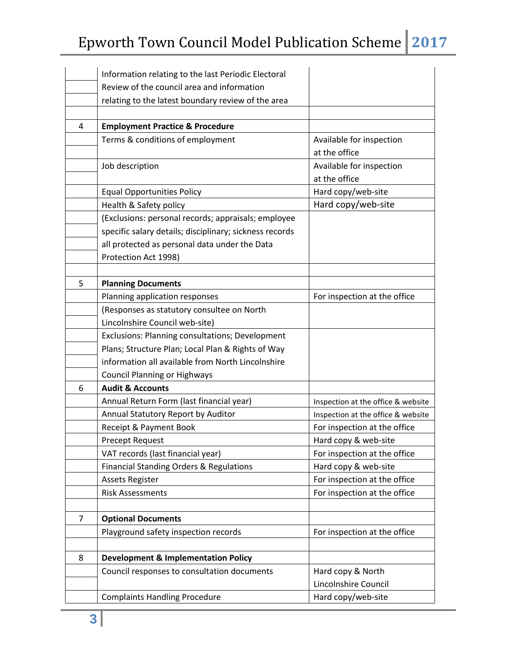|   | Information relating to the last Periodic Electoral     |                                    |
|---|---------------------------------------------------------|------------------------------------|
|   | Review of the council area and information              |                                    |
|   | relating to the latest boundary review of the area      |                                    |
|   |                                                         |                                    |
| 4 | <b>Employment Practice &amp; Procedure</b>              |                                    |
|   | Terms & conditions of employment                        | Available for inspection           |
|   |                                                         | at the office                      |
|   | Job description                                         | Available for inspection           |
|   |                                                         | at the office                      |
|   | <b>Equal Opportunities Policy</b>                       | Hard copy/web-site                 |
|   | Health & Safety policy                                  | Hard copy/web-site                 |
|   | (Exclusions: personal records; appraisals; employee     |                                    |
|   | specific salary details; disciplinary; sickness records |                                    |
|   | all protected as personal data under the Data           |                                    |
|   | Protection Act 1998)                                    |                                    |
|   |                                                         |                                    |
| 5 | <b>Planning Documents</b>                               |                                    |
|   | Planning application responses                          | For inspection at the office       |
|   | (Responses as statutory consultee on North              |                                    |
|   | Lincolnshire Council web-site)                          |                                    |
|   | Exclusions: Planning consultations; Development         |                                    |
|   | Plans; Structure Plan; Local Plan & Rights of Way       |                                    |
|   | information all available from North Lincolnshire       |                                    |
|   | <b>Council Planning or Highways</b>                     |                                    |
| 6 | <b>Audit &amp; Accounts</b>                             |                                    |
|   | Annual Return Form (last financial year)                | Inspection at the office & website |
|   | Annual Statutory Report by Auditor                      | Inspection at the office & website |
|   | Receipt & Payment Book                                  | For inspection at the office       |
|   | <b>Precept Request</b>                                  | Hard copy & web-site               |
|   | VAT records (last financial year)                       | For inspection at the office       |
|   | Financial Standing Orders & Regulations                 | Hard copy & web-site               |
|   | <b>Assets Register</b>                                  | For inspection at the office       |
|   | <b>Risk Assessments</b>                                 | For inspection at the office       |
|   |                                                         |                                    |
| 7 | <b>Optional Documents</b>                               |                                    |
|   | Playground safety inspection records                    | For inspection at the office       |
|   |                                                         |                                    |
| 8 | <b>Development &amp; Implementation Policy</b>          |                                    |
|   | Council responses to consultation documents             | Hard copy & North                  |
|   |                                                         | Lincolnshire Council               |
|   | <b>Complaints Handling Procedure</b>                    | Hard copy/web-site                 |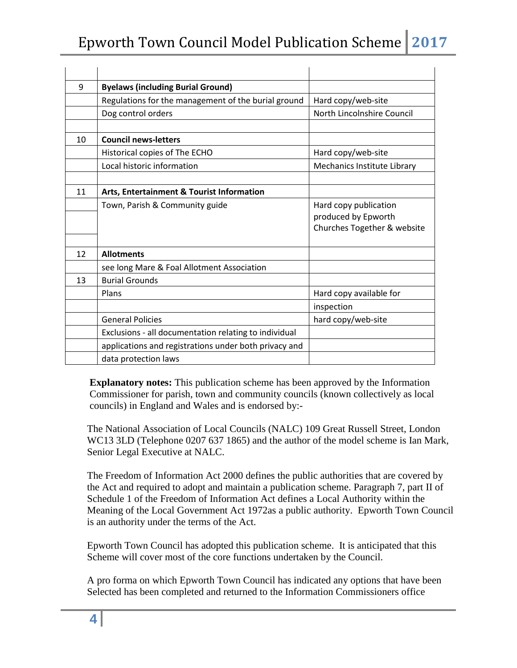| 9  | <b>Byelaws (including Burial Ground)</b>              |                                                                             |
|----|-------------------------------------------------------|-----------------------------------------------------------------------------|
|    | Regulations for the management of the burial ground   | Hard copy/web-site                                                          |
|    | Dog control orders                                    | North Lincolnshire Council                                                  |
|    |                                                       |                                                                             |
| 10 | <b>Council news-letters</b>                           |                                                                             |
|    | Historical copies of The ECHO                         | Hard copy/web-site                                                          |
|    | Local historic information                            | Mechanics Institute Library                                                 |
|    |                                                       |                                                                             |
| 11 | Arts, Entertainment & Tourist Information             |                                                                             |
|    | Town, Parish & Community guide                        | Hard copy publication<br>produced by Epworth<br>Churches Together & website |
| 12 | <b>Allotments</b>                                     |                                                                             |
|    | see long Mare & Foal Allotment Association            |                                                                             |
| 13 | <b>Burial Grounds</b>                                 |                                                                             |
|    | Plans                                                 | Hard copy available for                                                     |
|    |                                                       | inspection                                                                  |
|    | <b>General Policies</b>                               | hard copy/web-site                                                          |
|    | Exclusions - all documentation relating to individual |                                                                             |
|    | applications and registrations under both privacy and |                                                                             |
|    | data protection laws                                  |                                                                             |

**Explanatory notes:** This publication scheme has been approved by the Information Commissioner for parish, town and community councils (known collectively as local councils) in England and Wales and is endorsed by:-

 The National Association of Local Councils (NALC) 109 Great Russell Street, London WC13 3LD (Telephone 0207 637 1865) and the author of the model scheme is Ian Mark, Senior Legal Executive at NALC.

 The Freedom of Information Act 2000 defines the public authorities that are covered by the Act and required to adopt and maintain a publication scheme. Paragraph 7, part II of Schedule 1 of the Freedom of Information Act defines a Local Authority within the Meaning of the Local Government Act 1972as a public authority. Epworth Town Council is an authority under the terms of the Act.

 Epworth Town Council has adopted this publication scheme. It is anticipated that this Scheme will cover most of the core functions undertaken by the Council.

 A pro forma on which Epworth Town Council has indicated any options that have been Selected has been completed and returned to the Information Commissioners office